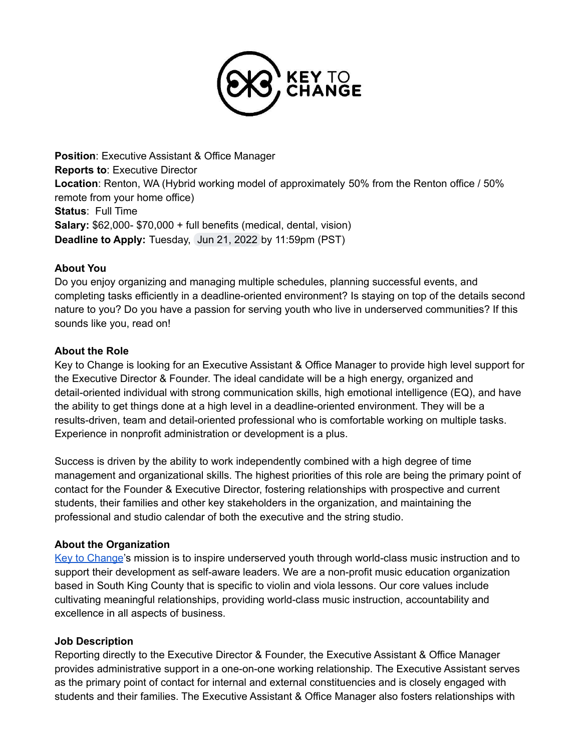

**Position**: Executive Assistant & Office Manager **Reports to**: Executive Director **Location**: Renton, WA (Hybrid working model of approximately 50% from the Renton office / 50% remote from your home office) **Status**: Full Time **Salary:** \$62,000- \$70,000 + full benefits (medical, dental, vision) **Deadline to Apply:** Tuesday, Jun 21, 2022 by 11:59pm (PST)

#### **About You**

Do you enjoy organizing and managing multiple schedules, planning successful events, and completing tasks efficiently in a deadline-oriented environment? Is staying on top of the details second nature to you? Do you have a passion for serving youth who live in underserved communities? If this sounds like you, read on!

#### **About the Role**

Key to Change is looking for an Executive Assistant & Office Manager to provide high level support for the Executive Director & Founder. The ideal candidate will be a high energy, organized and detail-oriented individual with strong communication skills, high emotional intelligence (EQ), and have the ability to get things done at a high level in a deadline-oriented environment. They will be a results-driven, team and detail-oriented professional who is comfortable working on multiple tasks. Experience in nonprofit administration or development is a plus.

Success is driven by the ability to work independently combined with a high degree of time management and organizational skills. The highest priorities of this role are being the primary point of contact for the Founder & Executive Director, fostering relationships with prospective and current students, their families and other key stakeholders in the organization, and maintaining the professional and studio calendar of both the executive and the string studio.

#### **About the Organization**

Key to [Change](http://www.keytochangestudio.org)'s mission is to inspire underserved youth through world-class music instruction and to support their development as self-aware leaders. We are a non-profit music education organization based in South King County that is specific to violin and viola lessons. Our core values include cultivating meaningful relationships, providing world-class music instruction, accountability and excellence in all aspects of business.

## **Job Description**

Reporting directly to the Executive Director & Founder, the Executive Assistant & Office Manager provides administrative support in a one-on-one working relationship. The Executive Assistant serves as the primary point of contact for internal and external constituencies and is closely engaged with students and their families. The Executive Assistant & Office Manager also fosters relationships with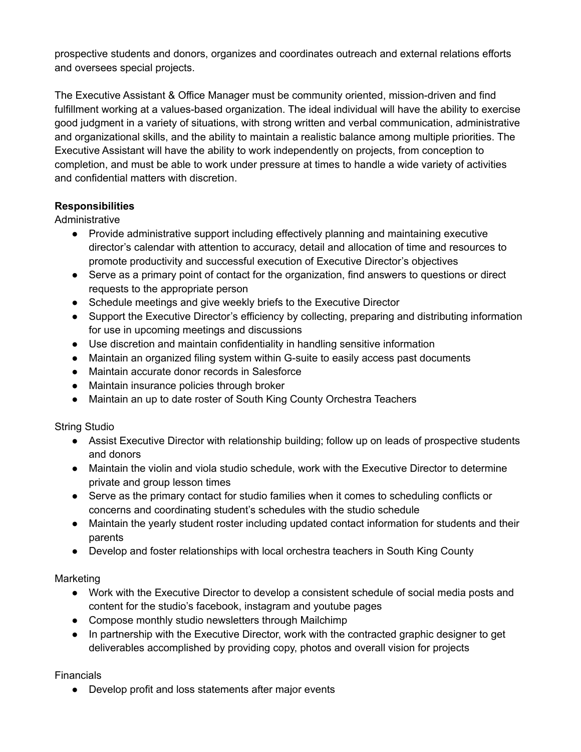prospective students and donors, organizes and coordinates outreach and external relations efforts and oversees special projects.

The Executive Assistant & Office Manager must be community oriented, mission-driven and find fulfillment working at a values-based organization. The ideal individual will have the ability to exercise good judgment in a variety of situations, with strong written and verbal communication, administrative and organizational skills, and the ability to maintain a realistic balance among multiple priorities. The Executive Assistant will have the ability to work independently on projects, from conception to completion, and must be able to work under pressure at times to handle a wide variety of activities and confidential matters with discretion.

# **Responsibilities**

Administrative

- Provide administrative support including effectively planning and maintaining executive director's calendar with attention to accuracy, detail and allocation of time and resources to promote productivity and successful execution of Executive Director's objectives
- Serve as a primary point of contact for the organization, find answers to questions or direct requests to the appropriate person
- Schedule meetings and give weekly briefs to the Executive Director
- Support the Executive Director's efficiency by collecting, preparing and distributing information for use in upcoming meetings and discussions
- Use discretion and maintain confidentiality in handling sensitive information
- Maintain an organized filing system within G-suite to easily access past documents
- Maintain accurate donor records in Salesforce
- Maintain insurance policies through broker
- Maintain an up to date roster of South King County Orchestra Teachers

String Studio

- Assist Executive Director with relationship building; follow up on leads of prospective students and donors
- Maintain the violin and viola studio schedule, work with the Executive Director to determine private and group lesson times
- Serve as the primary contact for studio families when it comes to scheduling conflicts or concerns and coordinating student's schedules with the studio schedule
- Maintain the yearly student roster including updated contact information for students and their parents
- Develop and foster relationships with local orchestra teachers in South King County

Marketing

- Work with the Executive Director to develop a consistent schedule of social media posts and content for the studio's facebook, instagram and youtube pages
- Compose monthly studio newsletters through Mailchimp
- In partnership with the Executive Director, work with the contracted graphic designer to get deliverables accomplished by providing copy, photos and overall vision for projects

Financials

● Develop profit and loss statements after major events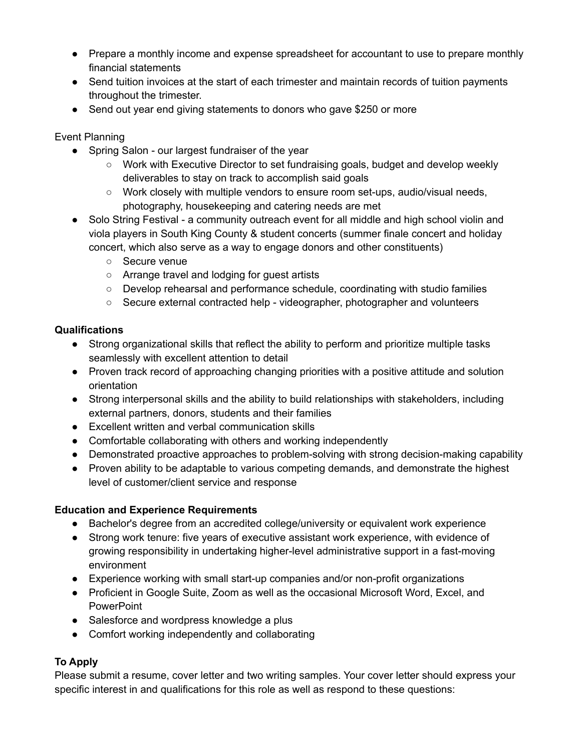- Prepare a monthly income and expense spreadsheet for accountant to use to prepare monthly financial statements
- Send tuition invoices at the start of each trimester and maintain records of tuition payments throughout the trimester.
- Send out year end giving statements to donors who gave \$250 or more

Event Planning

- Spring Salon our largest fundraiser of the year
	- Work with Executive Director to set fundraising goals, budget and develop weekly deliverables to stay on track to accomplish said goals
	- Work closely with multiple vendors to ensure room set-ups, audio/visual needs, photography, housekeeping and catering needs are met
- Solo String Festival a community outreach event for all middle and high school violin and viola players in South King County & student concerts (summer finale concert and holiday concert, which also serve as a way to engage donors and other constituents)
	- Secure venue
	- Arrange travel and lodging for guest artists
	- Develop rehearsal and performance schedule, coordinating with studio families
	- Secure external contracted help videographer, photographer and volunteers

## **Qualifications**

- Strong organizational skills that reflect the ability to perform and prioritize multiple tasks seamlessly with excellent attention to detail
- Proven track record of approaching changing priorities with a positive attitude and solution orientation
- Strong interpersonal skills and the ability to build relationships with stakeholders, including external partners, donors, students and their families
- Excellent written and verbal communication skills
- Comfortable collaborating with others and working independently
- Demonstrated proactive approaches to problem-solving with strong decision-making capability
- Proven ability to be adaptable to various competing demands, and demonstrate the highest level of customer/client service and response

# **Education and Experience Requirements**

- Bachelor's degree from an accredited college/university or equivalent work experience
- Strong work tenure: five years of executive assistant work experience, with evidence of growing responsibility in undertaking higher-level administrative support in a fast-moving environment
- Experience working with small start-up companies and/or non-profit organizations
- Proficient in Google Suite, Zoom as well as the occasional Microsoft Word, Excel, and **PowerPoint**
- Salesforce and wordpress knowledge a plus
- Comfort working independently and collaborating

# **To Apply**

Please submit a resume, cover letter and two writing samples. Your cover letter should express your specific interest in and qualifications for this role as well as respond to these questions: